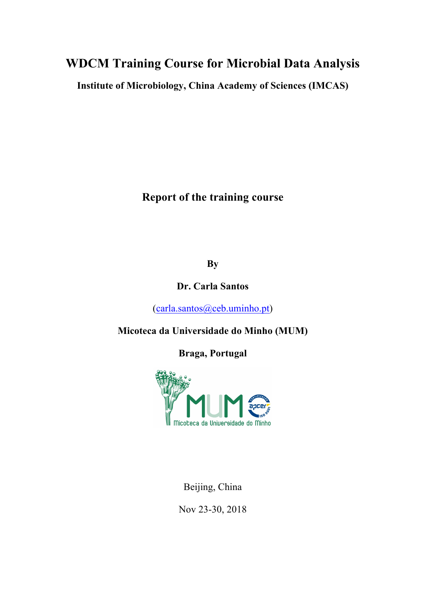## **WDCM Training Course for Microbial Data Analysis**

**Institute of Microbiology, China Academy of Sciences (IMCAS)**

**Report of the training course**

**By**

**Dr. Carla Santos**

(carla.santos@ceb.uminho.pt)

**Micoteca da Universidade do Minho (MUM)**

**Braga, Portugal**



Beijing, China

Nov 23-30, 2018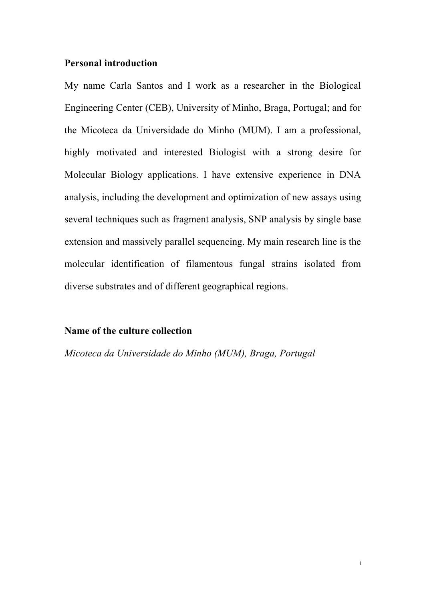#### **Personal introduction**

My name Carla Santos and I work as a researcher in the Biological Engineering Center (CEB), University of Minho, Braga, Portugal; and for the Micoteca da Universidade do Minho (MUM). I am a professional, highly motivated and interested Biologist with a strong desire for Molecular Biology applications. I have extensive experience in DNA analysis, including the development and optimization of new assays using several techniques such as fragment analysis, SNP analysis by single base extension and massively parallel sequencing. My main research line is the molecular identification of filamentous fungal strains isolated from diverse substrates and of different geographical regions.

#### **Name of the culture collection**

*Micoteca da Universidade do Minho (MUM), Braga, Portugal*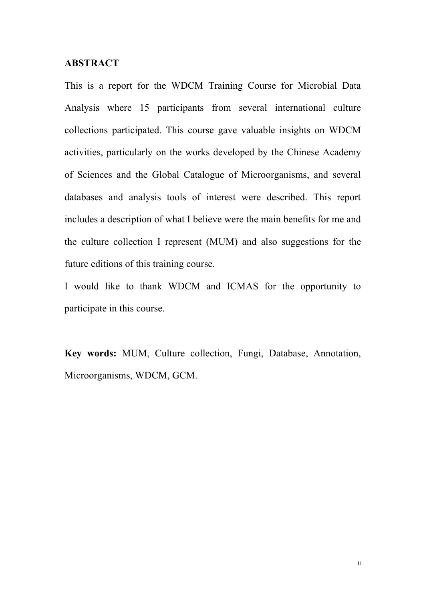#### **ABSTRACT**

This is a report for the WDCM Training Course for Microbial Data Analysis where 15 participants from several international culture collections participated. This course gave valuable insights on WDCM activities, particularly on the works developed by the Chinese Academy of Sciences and the Global Catalogue of Microorganisms, and several databases and analysis tools of interest were described. This report includes a description of what I believe were the main benefits for me and the culture collection I represent (MUM) and also suggestions for the future editions of this training course.

I would like to thank WDCM and ICMAS for the opportunity to participate in this course.

**Key words:** MUM, Culture collection, Fungi, Database, Annotation, Microorganisms, WDCM, GCM.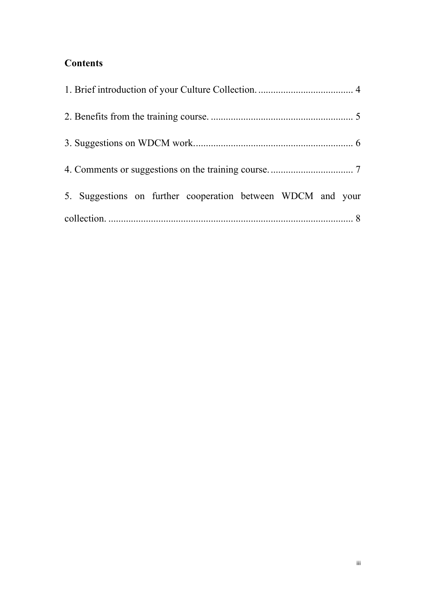### **Contents**

| 5. Suggestions on further cooperation between WDCM and your |  |
|-------------------------------------------------------------|--|
|                                                             |  |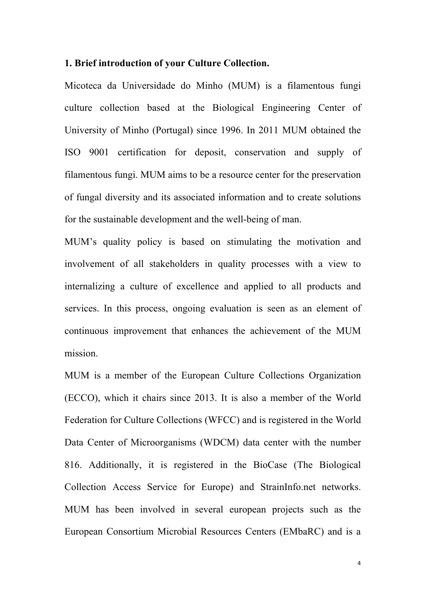#### **1. Brief introduction of your Culture Collection.**

Micoteca da Universidade do Minho (MUM) is a filamentous fungi culture collection based at the Biological Engineering Center of University of Minho (Portugal) since 1996. In 2011 MUM obtained the ISO 9001 certification for deposit, conservation and supply of filamentous fungi. MUM aims to be a resource center for the preservation of fungal diversity and its associated information and to create solutions for the sustainable development and the well-being of man.

MUM's quality policy is based on stimulating the motivation and involvement of all stakeholders in quality processes with a view to internalizing a culture of excellence and applied to all products and services. In this process, ongoing evaluation is seen as an element of continuous improvement that enhances the achievement of the MUM mission.

MUM is a member of the European Culture Collections Organization (ECCO), which it chairs since 2013. It is also a member of the World Federation for Culture Collections (WFCC) and is registered in the World Data Center of Microorganisms (WDCM) data center with the number 816. Additionally, it is registered in the BioCase (The Biological Collection Access Service for Europe) and StrainInfo.net networks. MUM has been involved in several european projects such as the European Consortium Microbial Resources Centers (EMbaRC) and is a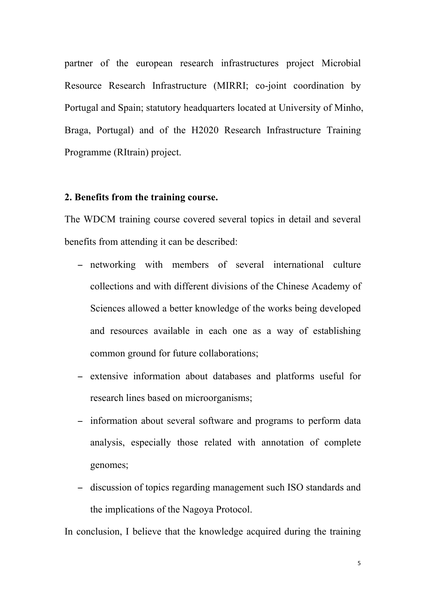partner of the european research infrastructures project Microbial Resource Research Infrastructure (MIRRI; co-joint coordination by Portugal and Spain; statutory headquarters located at University of Minho, Braga, Portugal) and of the H2020 Research Infrastructure Training Programme (RItrain) project.

#### **2. Benefits from the training course.**

The WDCM training course covered several topics in detail and several benefits from attending it can be described:

- − networking with members of several international culture collections and with different divisions of the Chinese Academy of Sciences allowed a better knowledge of the works being developed and resources available in each one as a way of establishing common ground for future collaborations;
- − extensive information about databases and platforms useful for research lines based on microorganisms;
- − information about several software and programs to perform data analysis, especially those related with annotation of complete genomes;
- − discussion of topics regarding management such ISO standards and the implications of the Nagoya Protocol.

In conclusion, I believe that the knowledge acquired during the training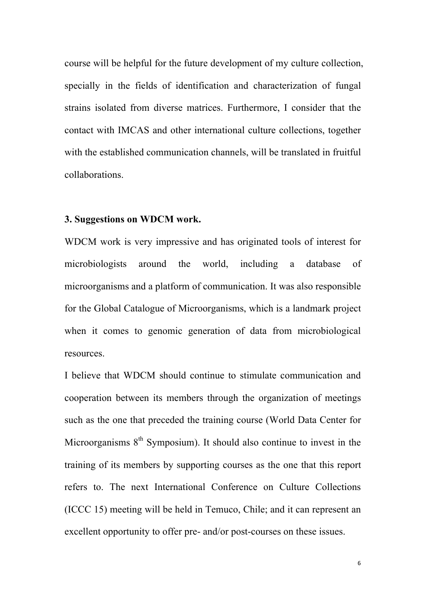course will be helpful for the future development of my culture collection, specially in the fields of identification and characterization of fungal strains isolated from diverse matrices. Furthermore, I consider that the contact with IMCAS and other international culture collections, together with the established communication channels, will be translated in fruitful collaborations.

#### **3. Suggestions on WDCM work.**

WDCM work is very impressive and has originated tools of interest for microbiologists around the world, including a database of microorganisms and a platform of communication. It was also responsible for the Global Catalogue of Microorganisms, which is a landmark project when it comes to genomic generation of data from microbiological resources.

I believe that WDCM should continue to stimulate communication and cooperation between its members through the organization of meetings such as the one that preceded the training course (World Data Center for Microorganisms  $8<sup>th</sup>$  Symposium). It should also continue to invest in the training of its members by supporting courses as the one that this report refers to. The next International Conference on Culture Collections (ICCC 15) meeting will be held in Temuco, Chile; and it can represent an excellent opportunity to offer pre- and/or post-courses on these issues.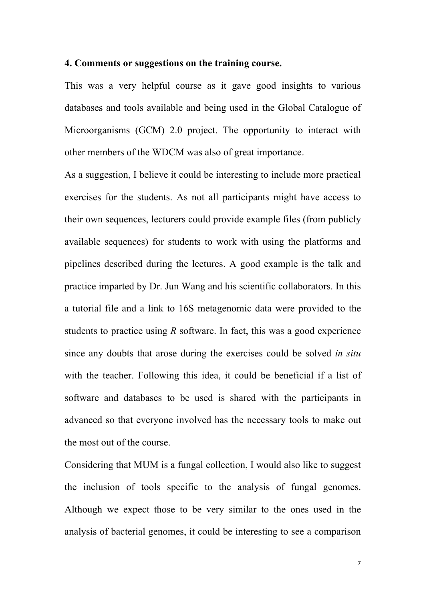#### **4. Comments or suggestions on the training course.**

This was a very helpful course as it gave good insights to various databases and tools available and being used in the Global Catalogue of Microorganisms (GCM) 2.0 project. The opportunity to interact with other members of the WDCM was also of great importance.

As a suggestion, I believe it could be interesting to include more practical exercises for the students. As not all participants might have access to their own sequences, lecturers could provide example files (from publicly available sequences) for students to work with using the platforms and pipelines described during the lectures. A good example is the talk and practice imparted by Dr. Jun Wang and his scientific collaborators. In this a tutorial file and a link to 16S metagenomic data were provided to the students to practice using *R* software. In fact, this was a good experience since any doubts that arose during the exercises could be solved *in situ* with the teacher. Following this idea, it could be beneficial if a list of software and databases to be used is shared with the participants in advanced so that everyone involved has the necessary tools to make out the most out of the course.

Considering that MUM is a fungal collection, I would also like to suggest the inclusion of tools specific to the analysis of fungal genomes. Although we expect those to be very similar to the ones used in the analysis of bacterial genomes, it could be interesting to see a comparison

7